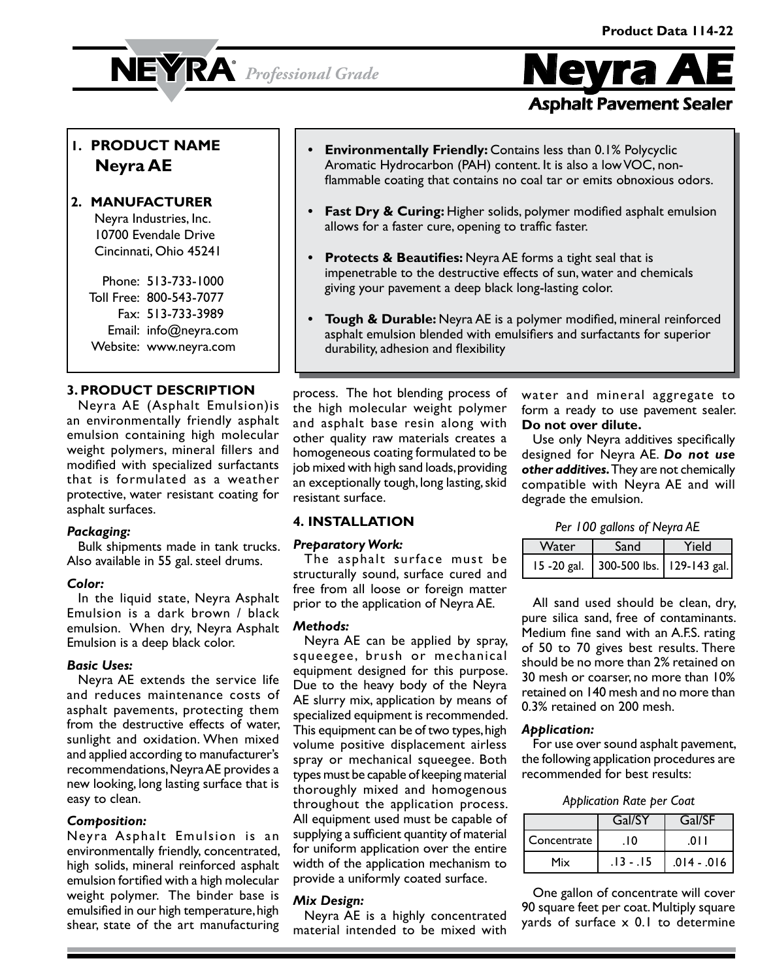# **NEYRA**<sup>*Professional Grade*</sup>



# **1. PRODUCT NAME Neyra AE**

### **2. MANUFACTURER**

Neyra Industries, Inc. 10700 Evendale Drive Cincinnati, Ohio 45241

Phone: 513-733-1000 Toll Free: 800-543-7077 Fax: 513-733-3989 Email: info@neyra.com Website: www.neyra.com

### **3. PRODUCT DESCRIPTION**

Neyra AE (Asphalt Emulsion)is an environmentally friendly asphalt emulsion containing high molecular weight polymers, mineral fillers and modified with specialized surfactants that is formulated as a weather protective, water resistant coating for asphalt surfaces.

### *Packaging:*

Bulk shipments made in tank trucks. Also available in 55 gal. steel drums.

### *Color:*

In the liquid state, Neyra Asphalt Emulsion is a dark brown / black emulsion. When dry, Neyra Asphalt Emulsion is a deep black color.

### *Basic Uses:*

Neyra AE extends the service life and reduces maintenance costs of asphalt pavements, protecting them from the destructive effects of water, sunlight and oxidation. When mixed and applied according to manufacturer's recommendations, Neyra AE provides a new looking, long lasting surface that is easy to clean.

### *Composition:*

Neyra Asphalt Emulsion is an environmentally friendly, concentrated, high solids, mineral reinforced asphalt emulsion fortified with a high molecular weight polymer. The binder base is emulsified in our high temperature, high shear, state of the art manufacturing

- **• Environmentally Friendly:** Contains less than 0.1% Polycyclic Aromatic Hydrocarbon (PAH) content. It is also a low VOC, nonflammable coating that contains no coal tar or emits obnoxious odors.
- **• Fast Dry & Curing:** Higher solids, polymer modified asphalt emulsion allows for a faster cure, opening to traffic faster.
- **• Protects & Beautifies:** Neyra AE forms a tight seal that is impenetrable to the destructive effects of sun, water and chemicals giving your pavement a deep black long-lasting color.
- **• Tough & Durable:** Neyra AE is a polymer modified, mineral reinforced asphalt emulsion blended with emulsifiers and surfactants for superior durability, adhesion and flexibility

process. The hot blending process of the high molecular weight polymer and asphalt base resin along with other quality raw materials creates a homogeneous coating formulated to be job mixed with high sand loads, providing an exceptionally tough, long lasting, skid resistant surface.

water and mineral aggregate to form a ready to use pavement sealer. **Do not over dilute.**

Use only Neyra additives specifically designed for Neyra AE. *Do not use other additives.* They are not chemically compatible with Neyra AE and will degrade the emulsion.

### **4. INSTALLATION**

### *Preparatory Work:*

The asphalt surface must be structurally sound, surface cured and free from all loose or foreign matter prior to the application of Neyra AE.

### *Methods:*

Neyra AE can be applied by spray, squeegee, brush or mechanical equipment designed for this purpose. Due to the heavy body of the Neyra AE slurry mix, application by means of specialized equipment is recommended. This equipment can be of two types, high volume positive displacement airless spray or mechanical squeegee. Both types must be capable of keeping material thoroughly mixed and homogenous throughout the application process. All equipment used must be capable of supplying a sufficient quantity of material for uniform application over the entire width of the application mechanism to provide a uniformly coated surface.

### *Mix Design:*

Neyra AE is a highly concentrated material intended to be mixed with *Per 100 gallons of Neyra AE*

| Water | Sand                                      | Yield |
|-------|-------------------------------------------|-------|
|       | 15 -20 gal.   300-500 lbs.   129-143 gal. |       |

All sand used should be clean, dry, pure silica sand, free of contaminants. Medium fine sand with an A.F.S. rating of 50 to 70 gives best results. There should be no more than 2% retained on 30 mesh or coarser, no more than 10% retained on 140 mesh and no more than 0.3% retained on 200 mesh.

### *Application:*

For use over sound asphalt pavement, the following application procedures are recommended for best results:

|             | Gal/SY      | Gal/SF        |
|-------------|-------------|---------------|
| Concentrate | 0١.         | ΩL            |
| Mix         | . 13 - . 15 | $.014 - .016$ |

One gallon of concentrate will cover 90 square feet per coat. Multiply square yards of surface x 0.1 to determine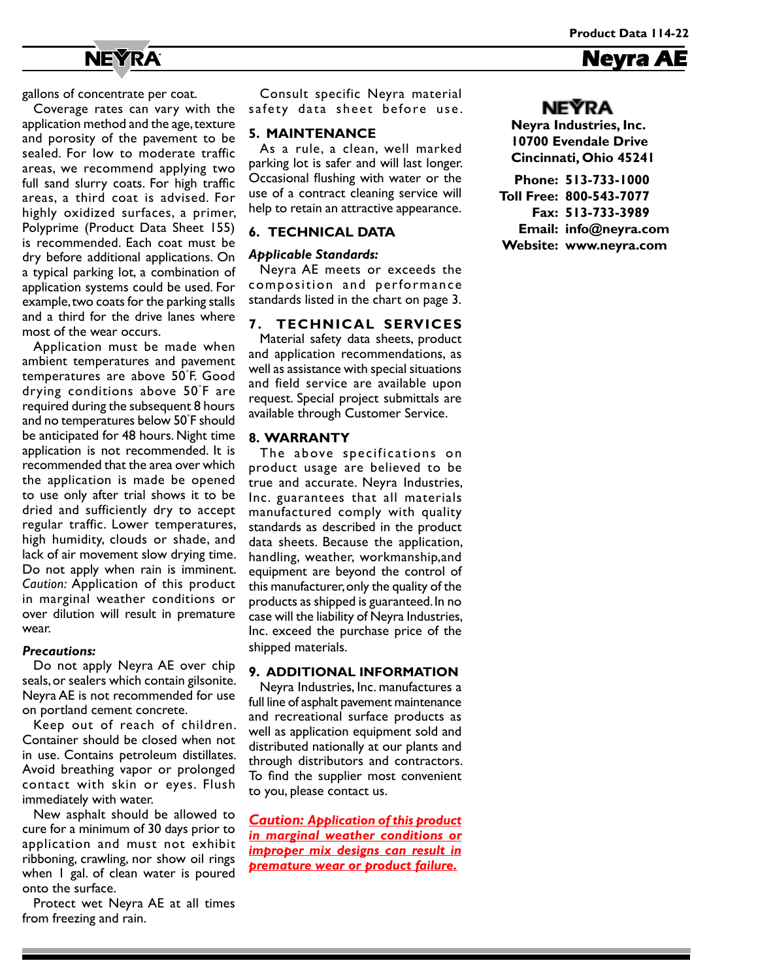**Neyra A** 

# **NEYRA**

gallons of concentrate per coat.

Coverage rates can vary with the application method and the age, texture and porosity of the pavement to be sealed. For low to moderate traffic areas, we recommend applying two full sand slurry coats. For high traffic areas, a third coat is advised. For highly oxidized surfaces, a primer, Polyprime (Product Data Sheet 155) is recommended. Each coat must be dry before additional applications. On a typical parking lot, a combination of application systems could be used. For example, two coats for the parking stalls and a third for the drive lanes where most of the wear occurs.

Application must be made when ambient temperatures and pavement temperatures are above 50° F. Good drying conditions above 50° F are required during the subsequent 8 hours and no temperatures below 50° F should be anticipated for 48 hours. Night time application is not recommended. It is recommended that the area over which the application is made be opened to use only after trial shows it to be dried and sufficiently dry to accept regular traffic. Lower temperatures, high humidity, clouds or shade, and lack of air movement slow drying time. Do not apply when rain is imminent. *Caution:* Application of this product in marginal weather conditions or over dilution will result in premature wear.

#### *Precautions:*

Do not apply Neyra AE over chip seals, or sealers which contain gilsonite. Neyra AE is not recommended for use on portland cement concrete.

Keep out of reach of children. Container should be closed when not in use. Contains petroleum distillates. Avoid breathing vapor or prolonged contact with skin or eyes. Flush immediately with water.

New asphalt should be allowed to cure for a minimum of 30 days prior to application and must not exhibit ribboning, crawling, nor show oil rings when I gal. of clean water is poured onto the surface.

Protect wet Neyra AE at all times from freezing and rain.

Consult specific Neyra material safety data sheet before use.

### **5. MAINTENANCE**

As a rule, a clean, well marked parking lot is safer and will last longer. Occasional flushing with water or the use of a contract cleaning service will help to retain an attractive appearance.

### **6. TECHNICAL DATA**

### *Applicable Standards:*

Neyra AE meets or exceeds the composition and performance standards listed in the chart on page 3.

### **7. TECHNICAL SERVICES**

Material safety data sheets, product and application recommendations, as well as assistance with special situations and field service are available upon request. Special project submittals are available through Customer Service.

### **8. WARRANTY**

The above specifications on product usage are believed to be true and accurate. Neyra Industries, Inc. guarantees that all materials manufactured comply with quality standards as described in the product data sheets. Because the application, handling, weather, workmanship,and equipment are beyond the control of this manufacturer, only the quality of the products as shipped is guaranteed. In no case will the liability of Neyra Industries, Inc. exceed the purchase price of the shipped materials.

#### **9. ADDITIONAL INFORMATION**

Neyra Industries, Inc. manufactures a full line of asphalt pavement maintenance and recreational surface products as well as application equipment sold and distributed nationally at our plants and through distributors and contractors. To find the supplier most convenient to you, please contact us.

*Caution: Application of this product in marginal weather conditions or improper mix designs can result in premature wear or product failure.*

### **NEÝRA**

**Neyra Industries, Inc. 10700 Evendale Drive Cincinnati, Ohio 45241**

**Phone: 513-733-1000 Toll Free: 800-543-7077 Fax: 513-733-3989 Email: info@neyra.com Website: www.neyra.com**